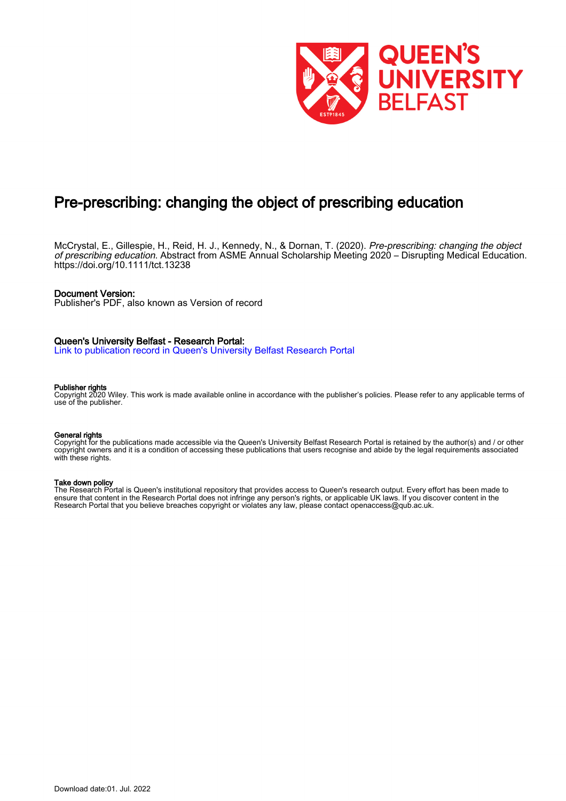

# Pre-prescribing: changing the object of prescribing education

McCrystal, E., Gillespie, H., Reid, H. J., Kennedy, N., & Dornan, T. (2020). Pre-prescribing: changing the object of prescribing education. Abstract from ASME Annual Scholarship Meeting 2020 – Disrupting Medical Education. <https://doi.org/10.1111/tct.13238>

#### Document Version:

Publisher's PDF, also known as Version of record

#### Queen's University Belfast - Research Portal:

[Link to publication record in Queen's University Belfast Research Portal](https://pure.qub.ac.uk/en/publications/1b6cec93-d5af-4844-a3f3-9c7adb0462fa)

#### Publisher rights

Copyright 2020 Wiley. This work is made available online in accordance with the publisher's policies. Please refer to any applicable terms of use of the publisher.

#### General rights

Copyright for the publications made accessible via the Queen's University Belfast Research Portal is retained by the author(s) and / or other copyright owners and it is a condition of accessing these publications that users recognise and abide by the legal requirements associated with these rights.

#### Take down policy

The Research Portal is Queen's institutional repository that provides access to Queen's research output. Every effort has been made to ensure that content in the Research Portal does not infringe any person's rights, or applicable UK laws. If you discover content in the Research Portal that you believe breaches copyright or violates any law, please contact openaccess@qub.ac.uk.